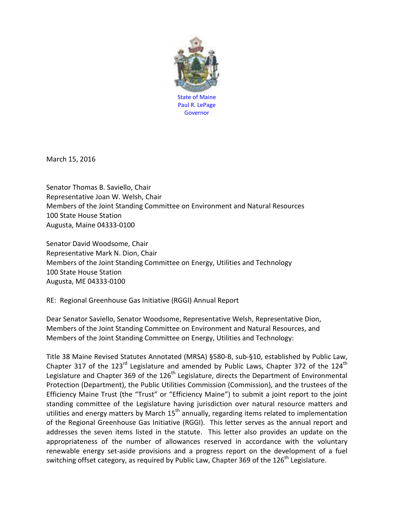

March 15, 2016

Senator Thomas B. Saviello, Chair Representative Joan W. Welsh, Chair Members of the Joint Standing Committee on Environment and Natural Resources 100 State House Station Augusta, Maine 04333-0100

Senator David Woodsome, Chair Representative Mark N. Dion, Chair Members of the Joint Standing Committee on Energy, Utilities and Technology 100 State House Station Augusta, ME 04333-0100

RE: Regional Greenhouse Gas Initiative (RGGI) Annual Report

Dear Senator Saviello, Senator Woodsome, Representative Welsh, Representative Dion, Members of the Joint Standing Committee on Environment and Natural Resources, and Members of the Joint Standing Committee on Energy, Utilities and Technology:

Title 38 Maine Revised Statutes Annotated (MRSA) §580-B, sub-§10, established by Public Law, Chapter 317 of the 123 $^{rd}$  Legislature and amended by Public Laws, Chapter 372 of the 124<sup>th</sup> Legislature and Chapter 369 of the 126<sup>th</sup> Legislature, directs the Department of Environmental Protection (Department), the Public Utilities Commission (Commission), and the trustees of the Efficiency Maine Trust (the "Trust" or "Efficiency Maine") to submit a joint report to the joint standing committee of the Legislature having jurisdiction over natural resource matters and utilities and energy matters by March  $15<sup>th</sup>$  annually, regarding items related to implementation of the Regional Greenhouse Gas Initiative (RGGI). This letter serves as the annual report and addresses the seven items listed in the statute. This letter also provides an update on the appropriateness of the number of allowances reserved in accordance with the voluntary renewable energy set-aside provisions and a progress report on the development of a fuel switching offset category, as required by Public Law, Chapter 369 of the 126<sup>th</sup> Legislature.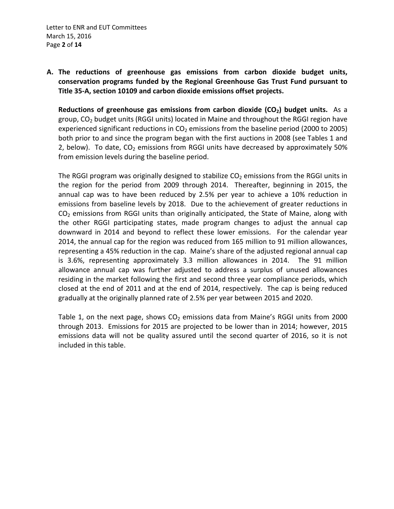**A. The reductions of greenhouse gas emissions from carbon dioxide budget units, conservation programs funded by the Regional Greenhouse Gas Trust Fund pursuant to Title 35-A, section 10109 and carbon dioxide emissions offset projects.**

**Reductions of greenhouse gas emissions from carbon dioxide (CO<sub>2</sub>) budget units.** As a group,  $CO<sub>2</sub>$  budget units (RGGI units) located in Maine and throughout the RGGI region have experienced significant reductions in  $CO<sub>2</sub>$  emissions from the baseline period (2000 to 2005) both prior to and since the program began with the first auctions in 2008 (see Tables 1 and 2, below). To date,  $CO<sub>2</sub>$  emissions from RGGI units have decreased by approximately 50% from emission levels during the baseline period.

The RGGI program was originally designed to stabilize  $CO<sub>2</sub>$  emissions from the RGGI units in the region for the period from 2009 through 2014. Thereafter, beginning in 2015, the annual cap was to have been reduced by 2.5% per year to achieve a 10% reduction in emissions from baseline levels by 2018. Due to the achievement of greater reductions in  $CO<sub>2</sub>$  emissions from RGGI units than originally anticipated, the State of Maine, along with the other RGGI participating states, made program changes to adjust the annual cap downward in 2014 and beyond to reflect these lower emissions. For the calendar year 2014, the annual cap for the region was reduced from 165 million to 91 million allowances, representing a 45% reduction in the cap. Maine's share of the adjusted regional annual cap is 3.6%, representing approximately 3.3 million allowances in 2014. The 91 million allowance annual cap was further adjusted to address a surplus of unused allowances residing in the market following the first and second three year compliance periods, which closed at the end of 2011 and at the end of 2014, respectively. The cap is being reduced gradually at the originally planned rate of 2.5% per year between 2015 and 2020.

Table 1, on the next page, shows  $CO<sub>2</sub>$  emissions data from Maine's RGGI units from 2000 through 2013. Emissions for 2015 are projected to be lower than in 2014; however, 2015 emissions data will not be quality assured until the second quarter of 2016, so it is not included in this table.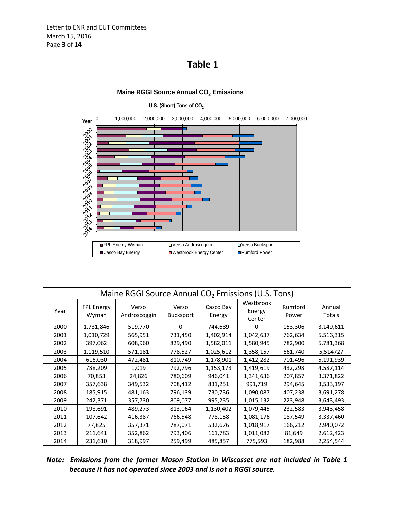



| Maine RGGI Source Annual CO <sub>2</sub> Emissions (U.S. Tons) |                     |                       |                           |                     |                               |                  |                  |  |
|----------------------------------------------------------------|---------------------|-----------------------|---------------------------|---------------------|-------------------------------|------------------|------------------|--|
| Year                                                           | FPL Energy<br>Wyman | Verso<br>Androscoggin | Verso<br><b>Bucksport</b> | Casco Bay<br>Energy | Westbrook<br>Energy<br>Center | Rumford<br>Power | Annual<br>Totals |  |
| 2000                                                           | 1,731,846           | 519,770               | 0                         | 744,689             | 0                             | 153,306          | 3,149,611        |  |
| 2001                                                           | 1,010,729           | 565,951               | 731,450                   | 1,402,914           | 1,042,637                     | 762,634          | 5,516,315        |  |
| 2002                                                           | 397,062             | 608,960               | 829,490                   | 1,582,011           | 1,580,945                     | 782,900          | 5,781,368        |  |
| 2003                                                           | 1,119,510           | 571,181               | 778,527                   | 1,025,612           | 1,358,157                     | 661,740          | 5,514727         |  |
| 2004                                                           | 616,030             | 472,481               | 810,749                   | 1,178,901           | 1,412,282                     | 701,496          | 5,191,939        |  |
| 2005                                                           | 788,209             | 1,019                 | 792,796                   | 1,153,173           | 1,419,619                     | 432,298          | 4,587,114        |  |
| 2006                                                           | 70,853              | 24,826                | 780,609                   | 946,041             | 1,341,636                     | 207,857          | 3,371,822        |  |
| 2007                                                           | 357,638             | 349,532               | 708,412                   | 831,251             | 991,719                       | 294,645          | 3,533,197        |  |
| 2008                                                           | 185,915             | 481,163               | 796,139                   | 730,736             | 1,090,087                     | 407,238          | 3,691,278        |  |
| 2009                                                           | 242,371             | 357,730               | 809,077                   | 995,235             | 1,015,132                     | 223,948          | 3,643,493        |  |
| 2010                                                           | 198,691             | 489,273               | 813,064                   | 1,130,402           | 1,079,445                     | 232,583          | 3,943,458        |  |
| 2011                                                           | 107,642             | 416,387               | 766,548                   | 778,158             | 1,081,176                     | 187,549          | 3,337,460        |  |
| 2012                                                           | 77,825              | 357,371               | 787,071                   | 532,676             | 1,018,917                     | 166,212          | 2,940,072        |  |
| 2013                                                           | 211,641             | 352,862               | 793,406                   | 161,783             | 1,011,082                     | 81,649           | 2,612,423        |  |
| 2014                                                           | 231,610             | 318,997               | 259,499                   | 485,857             | 775,593                       | 182,988          | 2,254,544        |  |

*Note: Emissions from the former Mason Station in Wiscasset are not included in Table 1 because it has not operated since 2003 and is not a RGGI source.*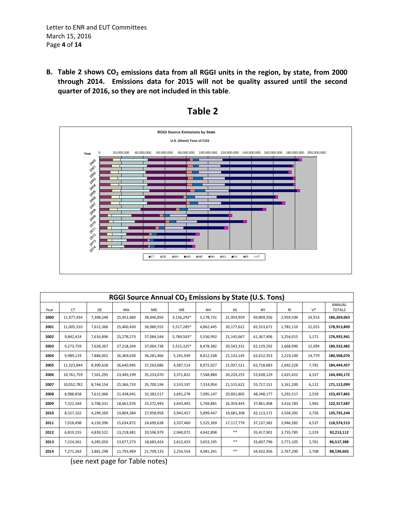Letter to ENR and EUT Committees March 15, 2016 Page **4** of **14**

B. Table 2 shows CO<sub>2</sub> emissions data from all RGGI units in the region, by state, from 2000 **through 2014. Emissions data for 2015 will not be quality assured until the second quarter of 2016, so they are not included in this table**.



## **Table 2**

| RGGI Source Annual CO <sub>2</sub> Emissions by State (U.S. Tons) |            |           |            |            |            |           |            |            |           |        |                         |
|-------------------------------------------------------------------|------------|-----------|------------|------------|------------|-----------|------------|------------|-----------|--------|-------------------------|
| Year                                                              | CT         | DE        | MA         | <b>MD</b>  | <b>ME</b>  | <b>NH</b> | <b>NJ</b>  | <b>NY</b>  | <b>RI</b> | VT     | ANNUAL<br><b>TOTALS</b> |
| 2000                                                              | 11,977,434 | 7,308,248 | 25,452,680 | 38,446,856 | 3,156,292* | 5,178,731 | 21,954,959 | 69,809,356 | 2,959,594 | 24,914 | 186,269,063             |
| 2001                                                              | 11,005,310 | 7,612,366 | 25,400,430 | 36,980,555 | 5,517,285* | 4,862,445 | 20,177,621 | 65,553,672 | 1,782,110 | 22,015 | 178,913,809             |
| 2002                                                              | 9,842,414  | 7,616,896 | 25,278,273 | 37,084,544 | 5,784,563* | 5,556,992 | 21,145,667 | 61,367,406 | 3,254,015 | 5,171  | 176,935,941             |
| 2003                                                              | 9,273,759  | 7,628,367 | 27,218,204 | 37,064,738 | 5,515,325* | 8,478,382 | 20,543,331 | 62,129,292 | 2,668,990 | 12,094 | 180,532,482             |
| 2004                                                              | 9,989,119  | 7,884,001 | 26,369,630 | 36,281,466 | 5,191,939  | 8,812,538 | 21,133,145 | 62,612,353 | 2,219,100 | 14,779 | 180,508,070             |
| 2005                                                              | 11,323,844 | 8,300,628 | 26,640,945 | 37,263,686 | 4,587,114  | 8,972,027 | 21,937,521 | 62,718,683 | 2,692,228 | 7,781  | 184,444,457             |
| 2006                                                              | 10,761,759 | 7,561,295 | 23,449,199 | 35,233,070 | 3,371,822  | 7,568,884 | 20,224,255 | 53,638,129 | 2,625,422 | 6,337  | 164,440,172             |
| 2007                                                              | 10,052,782 | 8,744,154 | 25,366,733 | 35,700,194 | 3,533,197  | 7,314,954 | 21,515,622 | 55,717,151 | 3,161,200 | 6,112  | 171,112,099             |
| 2008                                                              | 8,988,858  | 7,615,966 | 21,438,041 | 32,383,517 | 3,691,278  | 7,095,147 | 20,601,805 | 48,348,177 | 3,292,517 | 2,559  | 153,457,865             |
| 2009                                                              | 7,322,364  | 3,708,331 | 18,661,076 | 25,572,943 | 3,643,493  | 5,769,881 | 16,359,443 | 37,861,408 | 3,416,783 | 1,965  | 122,317,687             |
| 2010                                                              | 8,527,102  | 4,299,269 | 19,804,384 | 27,958,958 | 3,943,457  | 5,899,447 | 19,681,308 | 42,113,171 | 3,504,392 | 3,756  | 135,735,244             |
| 2011                                                              | 7,018,498  | 4,150,396 | 15,634,872 | 24,699,638 | 3,337,460  | 5,525,369 | 17,117,779 | 37,137,382 | 3,946,582 | 6,537  | 118,574,513             |
| 2012                                                              | 6,819,155  | 4,839,522 | 13,218,481 | 20,596,979 | 2,940,072  | 4,642,898 | $* *$      | 35,417,901 | 3,735,785 | 2,319  | 92,213,112              |
| 2013                                                              | 7,224,361  | 4,285,050 | 13,677,273 | 18,683,424 | 2,612,423  | 3,653,195 | $***$      | 33,607,796 | 2,771,105 | 2,761  | 86,517,388              |
| 2014                                                              | 7,271,363  | 3,881,298 | 11,793,969 | 21,709,133 | 2,254,554  | 4,081,341 | $***$      | 34,432,956 | 2,767,290 | 2,708  | 88,194,602              |

(see next page for Table notes)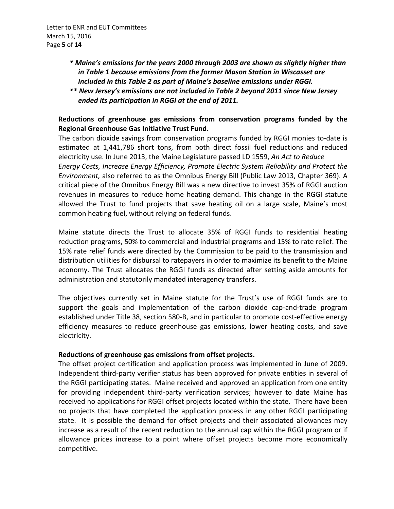Letter to ENR and EUT Committees March 15, 2016 Page **5** of **14**

- *\* Maine's emissions for the years 2000 through 2003 are shown as slightly higher than in Table 1 because emissions from the former Mason Station in Wiscasset are included in this Table 2 as part of Maine's baseline emissions under RGGI.*
- *\*\* New Jersey's emissions are not included in Table 2 beyond 2011 since New Jersey ended its participation in RGGI at the end of 2011.*

## **Reductions of greenhouse gas emissions from conservation programs funded by the Regional Greenhouse Gas Initiative Trust Fund.**

The carbon dioxide savings from conservation programs funded by RGGI monies to-date is estimated at 1,441,786 short tons, from both direct fossil fuel reductions and reduced electricity use. In June 2013, the Maine Legislature passed LD 1559, *An Act to Reduce Energy Costs, Increase Energy Efficiency, Promote Electric System Reliability and Protect the Environment,* also referred to as the Omnibus Energy Bill (Public Law 2013, Chapter 369). A critical piece of the Omnibus Energy Bill was a new directive to invest 35% of RGGI auction revenues in measures to reduce home heating demand. This change in the RGGI statute allowed the Trust to fund projects that save heating oil on a large scale, Maine's most common heating fuel, without relying on federal funds.

Maine statute directs the Trust to allocate 35% of RGGI funds to residential heating reduction programs, 50% to commercial and industrial programs and 15% to rate relief. The 15% rate relief funds were directed by the Commission to be paid to the transmission and distribution utilities for disbursal to ratepayers in order to maximize its benefit to the Maine economy. The Trust allocates the RGGI funds as directed after setting aside amounts for administration and statutorily mandated interagency transfers.

The objectives currently set in Maine statute for the Trust's use of RGGI funds are to support the goals and implementation of the carbon dioxide cap-and-trade program established under Title 38, section 580-B, and in particular to promote cost-effective energy efficiency measures to reduce greenhouse gas emissions, lower heating costs, and save electricity.

## **Reductions of greenhouse gas emissions from offset projects.**

The offset project certification and application process was implemented in June of 2009. Independent third-party verifier status has been approved for private entities in several of the RGGI participating states. Maine received and approved an application from one entity for providing independent third-party verification services; however to date Maine has received no applications for RGGI offset projects located within the state. There have been no projects that have completed the application process in any other RGGI participating state. It is possible the demand for offset projects and their associated allowances may increase as a result of the recent reduction to the annual cap within the RGGI program or if allowance prices increase to a point where offset projects become more economically competitive.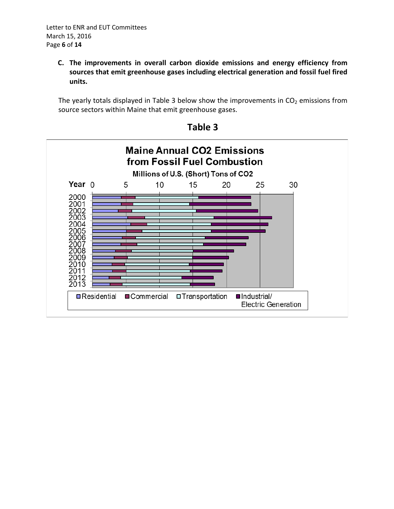**C. The improvements in overall carbon dioxide emissions and energy efficiency from sources that emit greenhouse gases including electrical generation and fossil fuel fired units.**

The yearly totals displayed in Table 3 below show the improvements in  $CO<sub>2</sub>$  emissions from source sectors within Maine that emit greenhouse gases.



**Table 3**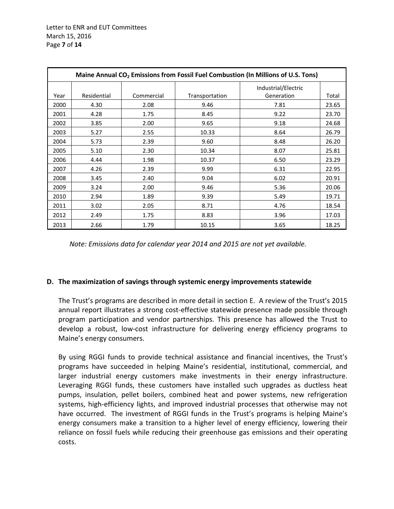| Maine Annual CO <sub>2</sub> Emissions from Fossil Fuel Combustion (In Millions of U.S. Tons) |             |            |                |                                   |       |  |  |  |
|-----------------------------------------------------------------------------------------------|-------------|------------|----------------|-----------------------------------|-------|--|--|--|
| Year                                                                                          | Residential | Commercial | Transportation | Industrial/Electric<br>Generation | Total |  |  |  |
| 2000                                                                                          | 4.30        | 2.08       | 9.46           | 7.81                              | 23.65 |  |  |  |
| 2001                                                                                          | 4.28        | 1.75       | 8.45           | 9.22                              | 23.70 |  |  |  |
| 2002                                                                                          | 3.85        | 2.00       | 9.65           | 9.18                              | 24.68 |  |  |  |
| 2003                                                                                          | 5.27        | 2.55       | 10.33          | 8.64                              | 26.79 |  |  |  |
| 2004                                                                                          | 5.73        | 2.39       | 9.60           | 8.48                              | 26.20 |  |  |  |
| 2005                                                                                          | 5.10        | 2.30       | 10.34          | 8.07                              | 25.81 |  |  |  |
| 2006                                                                                          | 4.44        | 1.98       | 10.37          | 6.50                              | 23.29 |  |  |  |
| 2007                                                                                          | 4.26        | 2.39       | 9.99           | 6.31                              | 22.95 |  |  |  |
| 2008                                                                                          | 3.45        | 2.40       | 9.04           | 6.02                              | 20.91 |  |  |  |
| 2009                                                                                          | 3.24        | 2.00       | 9.46           | 5.36                              | 20.06 |  |  |  |
| 2010                                                                                          | 2.94        | 1.89       | 9.39           | 5.49                              | 19.71 |  |  |  |
| 2011                                                                                          | 3.02        | 2.05       | 8.71           | 4.76                              | 18.54 |  |  |  |
| 2012                                                                                          | 2.49        | 1.75       | 8.83           | 3.96                              | 17.03 |  |  |  |
| 2013                                                                                          | 2.66        | 1.79       | 10.15          | 3.65                              | 18.25 |  |  |  |

*Note: Emissions data for calendar year 2014 and 2015 are not yet available.*

#### **D. The maximization of savings through systemic energy improvements statewide**

The Trust's programs are described in more detail in section E. A review of the Trust's 2015 annual report illustrates a strong cost-effective statewide presence made possible through program participation and vendor partnerships. This presence has allowed the Trust to develop a robust, low-cost infrastructure for delivering energy efficiency programs to Maine's energy consumers.

By using RGGI funds to provide technical assistance and financial incentives, the Trust's programs have succeeded in helping Maine's residential, institutional, commercial, and larger industrial energy customers make investments in their energy infrastructure. Leveraging RGGI funds, these customers have installed such upgrades as ductless heat pumps, insulation, pellet boilers, combined heat and power systems, new refrigeration systems, high-efficiency lights, and improved industrial processes that otherwise may not have occurred. The investment of RGGI funds in the Trust's programs is helping Maine's energy consumers make a transition to a higher level of energy efficiency, lowering their reliance on fossil fuels while reducing their greenhouse gas emissions and their operating costs.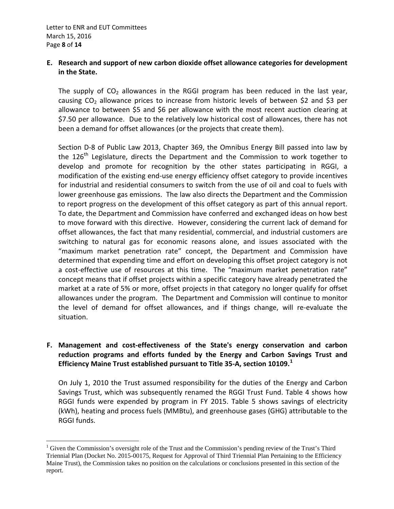## **E. Research and support of new carbon dioxide offset allowance categories for development in the State.**

The supply of  $CO<sub>2</sub>$  allowances in the RGGI program has been reduced in the last year, causing  $CO<sub>2</sub>$  allowance prices to increase from historic levels of between \$2 and \$3 per allowance to between \$5 and \$6 per allowance with the most recent auction clearing at \$7.50 per allowance. Due to the relatively low historical cost of allowances, there has not been a demand for offset allowances (or the projects that create them).

Section D-8 of Public Law 2013, Chapter 369, the Omnibus Energy Bill passed into law by the  $126<sup>th</sup>$  Legislature, directs the Department and the Commission to work together to develop and promote for recognition by the other states participating in RGGI, a modification of the existing end-use energy efficiency offset category to provide incentives for industrial and residential consumers to switch from the use of oil and coal to fuels with lower greenhouse gas emissions. The law also directs the Department and the Commission to report progress on the development of this offset category as part of this annual report. To date, the Department and Commission have conferred and exchanged ideas on how best to move forward with this directive. However, considering the current lack of demand for offset allowances, the fact that many residential, commercial, and industrial customers are switching to natural gas for economic reasons alone, and issues associated with the "maximum market penetration rate" concept, the Department and Commission have determined that expending time and effort on developing this offset project category is not a cost-effective use of resources at this time. The "maximum market penetration rate" concept means that if offset projects within a specific category have already penetrated the market at a rate of 5% or more, offset projects in that category no longer qualify for offset allowances under the program. The Department and Commission will continue to monitor the level of demand for offset allowances, and if things change, will re-evaluate the situation.

## **F. Management and cost-effectiveness of the State's energy conservation and carbon reduction programs and efforts funded by the Energy and Carbon Savings Trust and Efficiency Maine Trust established pursuant to Title 35-A, section 10109.[1](#page-7-0)**

On July 1, 2010 the Trust assumed responsibility for the duties of the Energy and Carbon Savings Trust, which was subsequently renamed the RGGI Trust Fund. Table 4 shows how RGGI funds were expended by program in FY 2015. Table 5 shows savings of electricity (kWh), heating and process fuels (MMBtu), and greenhouse gases (GHG) attributable to the RGGI funds.

<span id="page-7-0"></span><sup>&</sup>lt;sup>1</sup> Given the Commission's oversight role of the Trust and the Commission's pending review of the Trust's Third Triennial Plan (Docket No. 2015-00175, Request for Approval of Third Triennial Plan Pertaining to the Efficiency Maine Trust), the Commission takes no position on the calculations or conclusions presented in this section of the report.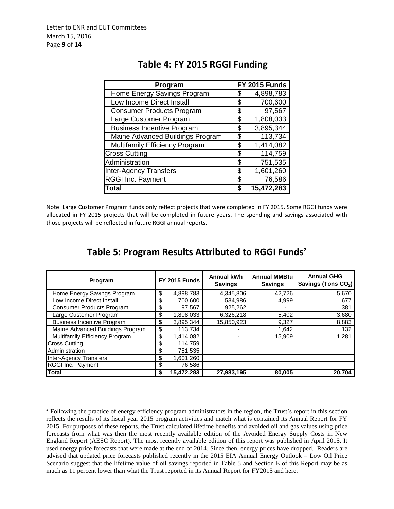| Program                           |    | FY 2015 Funds           |
|-----------------------------------|----|-------------------------|
| Home Energy Savings Program       | S  | 4,898,783               |
| Low Income Direct Install         | S  | 700,600                 |
| <b>Consumer Products Program</b>  | S  | 97,567                  |
| Large Customer Program            | \$ | 1,808,033               |
| <b>Business Incentive Program</b> | \$ | 3,895,344               |
| Maine Advanced Buildings Program  | S  | $\overline{11}3,734$    |
| Multifamily Efficiency Program    | S  | 1,414,082               |
| <b>Cross Cutting</b>              | \$ | 114,759                 |
| Administration                    | \$ | 751,535                 |
| <b>Inter-Agency Transfers</b>     | S. | 1,601,260               |
| <b>RGGI Inc. Payment</b>          | \$ | 76,586                  |
| <b>Total</b>                      | S  | $\overline{15,}472,283$ |

# **Table 4: FY 2015 RGGI Funding**

Note: Large Customer Program funds only reflect projects that were completed in FY 2015. Some RGGI funds were allocated in FY 2015 projects that will be completed in future years. The spending and savings associated with those projects will be reflected in future RGGI annual reports.

| Program                           |    | <b>FY 2015 Funds</b> | <b>Annual kWh</b><br><b>Savings</b> | <b>Annual MMBtu</b><br><b>Savings</b> | <b>Annual GHG</b><br>Savings (Tons CO <sub>2</sub> ) |  |
|-----------------------------------|----|----------------------|-------------------------------------|---------------------------------------|------------------------------------------------------|--|
| Home Energy Savings Program       | \$ | 4,898,783            | 4,345,806                           | 42,726                                | 5,670                                                |  |
| Low Income Direct Install         | \$ | 700,600              | 534,986                             | 4,999                                 | 677                                                  |  |
| <b>Consumer Products Program</b>  | S  | 97,567               | 925,262                             |                                       | 381                                                  |  |
| Large Customer Program            | S  | 1,808,033            | 6,326,218                           | 5,402                                 | 3,680                                                |  |
| <b>Business Incentive Program</b> | S  | 3,895,344            | 15,850,923                          | 9,327                                 | 8,883                                                |  |
| Maine Advanced Buildings Program  |    | 113,734              |                                     | 1,642                                 | 132                                                  |  |
| Multifamily Efficiency Program    |    | 1,414,082            |                                     | 15,909                                | 1,281                                                |  |
| <b>Cross Cutting</b>              | S  | 114,759              |                                     |                                       |                                                      |  |
| Administration                    |    | 751,535              |                                     |                                       |                                                      |  |
| <b>Inter-Agency Transfers</b>     | \$ | 1,601,260            |                                     |                                       |                                                      |  |
| <b>RGGI Inc. Payment</b>          |    | 76,586               |                                     |                                       |                                                      |  |
| <b>Total</b>                      |    | 15,472,283           | 27,983,195                          | 80,005                                | 20,704                                               |  |

# **Table 5: Program Results Attributed to RGGI Funds[2](#page-8-0)**

<span id="page-8-0"></span> $2$  Following the practice of energy efficiency program administrators in the region, the Trust's report in this section reflects the results of its fiscal year 2015 program activities and match what is contained its Annual Report for FY 2015. For purposes of these reports, the Trust calculated lifetime benefits and avoided oil and gas values using price forecasts from what was then the most recently available edition of the Avoided Energy Supply Costs in New England Report (AESC Report). The most recently available edition of this report was published in April 2015. It used energy price forecasts that were made at the end of 2014. Since then, energy prices have dropped. Readers are advised that updated price forecasts published recently in the 2015 EIA Annual Energy Outlook – Low Oil Price Scenario suggest that the lifetime value of oil savings reported in Table 5 and Section E of this Report may be as much as 11 percent lower than what the Trust reported in its Annual Report for FY2015 and here.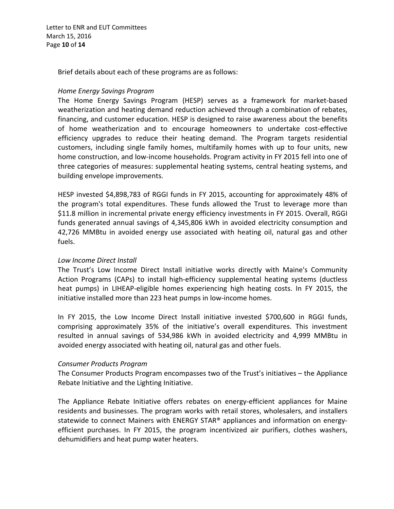Letter to ENR and EUT Committees March 15, 2016 Page **10** of **14**

Brief details about each of these programs are as follows:

#### *Home Energy Savings Program*

The Home Energy Savings Program (HESP) serves as a framework for market-based weatherization and heating demand reduction achieved through a combination of rebates, financing, and customer education. HESP is designed to raise awareness about the benefits of home weatherization and to encourage homeowners to undertake cost-effective efficiency upgrades to reduce their heating demand. The Program targets residential customers, including single family homes, multifamily homes with up to four units, new home construction, and low-income households. Program activity in FY 2015 fell into one of three categories of measures: supplemental heating systems, central heating systems, and building envelope improvements.

HESP invested \$4,898,783 of RGGI funds in FY 2015, accounting for approximately 48% of the program's total expenditures. These funds allowed the Trust to leverage more than \$11.8 million in incremental private energy efficiency investments in FY 2015. Overall, RGGI funds generated annual savings of 4,345,806 kWh in avoided electricity consumption and 42,726 MMBtu in avoided energy use associated with heating oil, natural gas and other fuels.

### *Low Income Direct Install*

The Trust's Low Income Direct Install initiative works directly with Maine's Community Action Programs (CAPs) to install high-efficiency supplemental heating systems (ductless heat pumps) in LIHEAP-eligible homes experiencing high heating costs. In FY 2015, the initiative installed more than 223 heat pumps in low-income homes.

In FY 2015, the Low Income Direct Install initiative invested \$700,600 in RGGI funds, comprising approximately 35% of the initiative's overall expenditures. This investment resulted in annual savings of 534,986 kWh in avoided electricity and 4,999 MMBtu in avoided energy associated with heating oil, natural gas and other fuels.

### *Consumer Products Program*

The Consumer Products Program encompasses two of the Trust's initiatives – the Appliance Rebate Initiative and the Lighting Initiative.

The Appliance Rebate Initiative offers rebates on energy-efficient appliances for Maine residents and businesses. The program works with retail stores, wholesalers, and installers statewide to connect Mainers with ENERGY STAR® appliances and information on energyefficient purchases. In FY 2015, the program incentivized air purifiers, clothes washers, dehumidifiers and heat pump water heaters.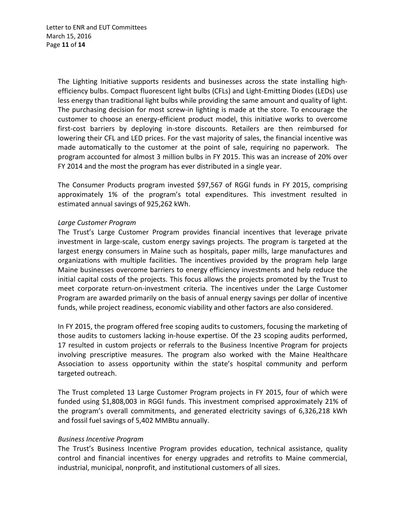The Lighting Initiative supports residents and businesses across the state installing highefficiency bulbs. Compact fluorescent light bulbs (CFLs) and Light-Emitting Diodes (LEDs) use less energy than traditional light bulbs while providing the same amount and quality of light. The purchasing decision for most screw-in lighting is made at the store. To encourage the customer to choose an energy-efficient product model, this initiative works to overcome first-cost barriers by deploying in-store discounts. Retailers are then reimbursed for lowering their CFL and LED prices. For the vast majority of sales, the financial incentive was made automatically to the customer at the point of sale, requiring no paperwork. The program accounted for almost 3 million bulbs in FY 2015. This was an increase of 20% over FY 2014 and the most the program has ever distributed in a single year.

The Consumer Products program invested \$97,567 of RGGI funds in FY 2015, comprising approximately 1% of the program's total expenditures. This investment resulted in estimated annual savings of 925,262 kWh.

### *Large Customer Program*

The Trust's Large Customer Program provides financial incentives that leverage private investment in large-scale, custom energy savings projects. The program is targeted at the largest energy consumers in Maine such as hospitals, paper mills, large manufactures and organizations with multiple facilities. The incentives provided by the program help large Maine businesses overcome barriers to energy efficiency investments and help reduce the initial capital costs of the projects. This focus allows the projects promoted by the Trust to meet corporate return-on-investment criteria. The incentives under the Large Customer Program are awarded primarily on the basis of annual energy savings per dollar of incentive funds, while project readiness, economic viability and other factors are also considered.

In FY 2015, the program offered free scoping audits to customers, focusing the marketing of those audits to customers lacking in-house expertise. Of the 23 scoping audits performed, 17 resulted in custom projects or referrals to the Business Incentive Program for projects involving prescriptive measures. The program also worked with the Maine Healthcare Association to assess opportunity within the state's hospital community and perform targeted outreach.

The Trust completed 13 Large Customer Program projects in FY 2015, four of which were funded using \$1,808,003 in RGGI funds. This investment comprised approximately 21% of the program's overall commitments, and generated electricity savings of 6,326,218 kWh and fossil fuel savings of 5,402 MMBtu annually.

#### *Business Incentive Program*

The Trust's Business Incentive Program provides education, technical assistance, quality control and financial incentives for energy upgrades and retrofits to Maine commercial, industrial, municipal, nonprofit, and institutional customers of all sizes.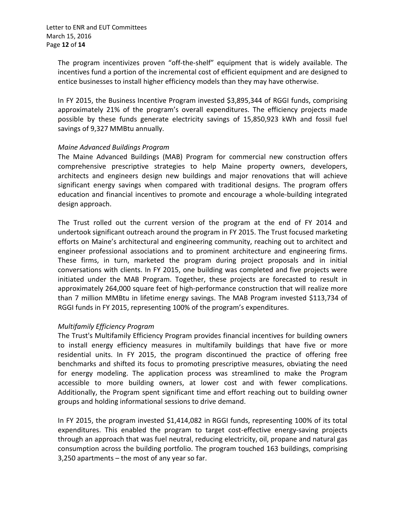The program incentivizes proven "off-the-shelf" equipment that is widely available. The incentives fund a portion of the incremental cost of efficient equipment and are designed to entice businesses to install higher efficiency models than they may have otherwise.

In FY 2015, the Business Incentive Program invested \$3,895,344 of RGGI funds, comprising approximately 21% of the program's overall expenditures. The efficiency projects made possible by these funds generate electricity savings of 15,850,923 kWh and fossil fuel savings of 9,327 MMBtu annually.

### *Maine Advanced Buildings Program*

The Maine Advanced Buildings (MAB) Program for commercial new construction offers comprehensive prescriptive strategies to help Maine property owners, developers, architects and engineers design new buildings and major renovations that will achieve significant energy savings when compared with traditional designs. The program offers education and financial incentives to promote and encourage a whole-building integrated design approach.

The Trust rolled out the current version of the program at the end of FY 2014 and undertook significant outreach around the program in FY 2015. The Trust focused marketing efforts on Maine's architectural and engineering community, reaching out to architect and engineer professional associations and to prominent architecture and engineering firms. These firms, in turn, marketed the program during project proposals and in initial conversations with clients. In FY 2015, one building was completed and five projects were initiated under the MAB Program. Together, these projects are forecasted to result in approximately 264,000 square feet of high-performance construction that will realize more than 7 million MMBtu in lifetime energy savings. The MAB Program invested \$113,734 of RGGI funds in FY 2015, representing 100% of the program's expenditures.

## *Multifamily Efficiency Program*

The Trust's Multifamily Efficiency Program provides financial incentives for building owners to install energy efficiency measures in multifamily buildings that have five or more residential units. In FY 2015, the program discontinued the practice of offering free benchmarks and shifted its focus to promoting prescriptive measures, obviating the need for energy modeling. The application process was streamlined to make the Program accessible to more building owners, at lower cost and with fewer complications. Additionally, the Program spent significant time and effort reaching out to building owner groups and holding informational sessions to drive demand.

In FY 2015, the program invested \$1,414,082 in RGGI funds, representing 100% of its total expenditures. This enabled the program to target cost-effective energy-saving projects through an approach that was fuel neutral, reducing electricity, oil, propane and natural gas consumption across the building portfolio. The program touched 163 buildings, comprising 3,250 apartments – the most of any year so far.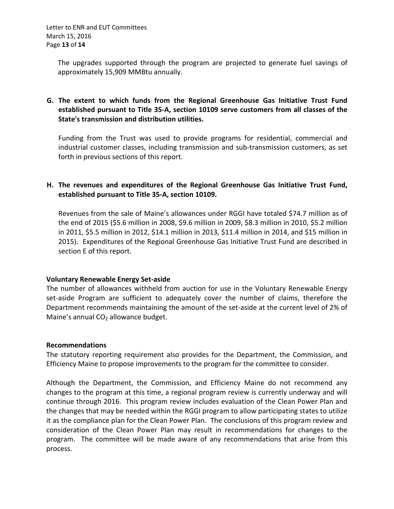The upgrades supported through the program are projected to generate fuel savings of approximately 15,909 MMBtu annually.

## **G. The extent to which funds from the Regional Greenhouse Gas Initiative Trust Fund established pursuant to Title 35-A, section 10109 serve customers from all classes of the State's transmission and distribution utilities.**

Funding from the Trust was used to provide programs for residential, commercial and industrial customer classes, including transmission and sub-transmission customers, as set forth in previous sections of this report.

## **H. The revenues and expenditures of the Regional Greenhouse Gas Initiative Trust Fund, established pursuant to Title 35-A, section 10109.**

Revenues from the sale of Maine's allowances under RGGI have totaled \$74.7 million as of the end of 2015 (\$5.6 million in 2008, \$9.6 million in 2009, \$8.3 million in 2010, \$5.2 million in 2011, \$5.5 million in 2012, \$14.1 million in 2013, \$11.4 million in 2014, and \$15 million in 2015). Expenditures of the Regional Greenhouse Gas Initiative Trust Fund are described in section E of this report.

## **Voluntary Renewable Energy Set-aside**

The number of allowances withheld from auction for use in the Voluntary Renewable Energy set-aside Program are sufficient to adequately cover the number of claims, therefore the Department recommends maintaining the amount of the set-aside at the current level of 2% of Maine's annual  $CO<sub>2</sub>$  allowance budget.

### **Recommendations**

The statutory reporting requirement also provides for the Department, the Commission, and Efficiency Maine to propose improvements to the program for the committee to consider.

Although the Department, the Commission, and Efficiency Maine do not recommend any changes to the program at this time, a regional program review is currently underway and will continue through 2016. This program review includes evaluation of the Clean Power Plan and the changes that may be needed within the RGGI program to allow participating states to utilize it as the compliance plan for the Clean Power Plan. The conclusions of this program review and consideration of the Clean Power Plan may result in recommendations for changes to the program. The committee will be made aware of any recommendations that arise from this process.